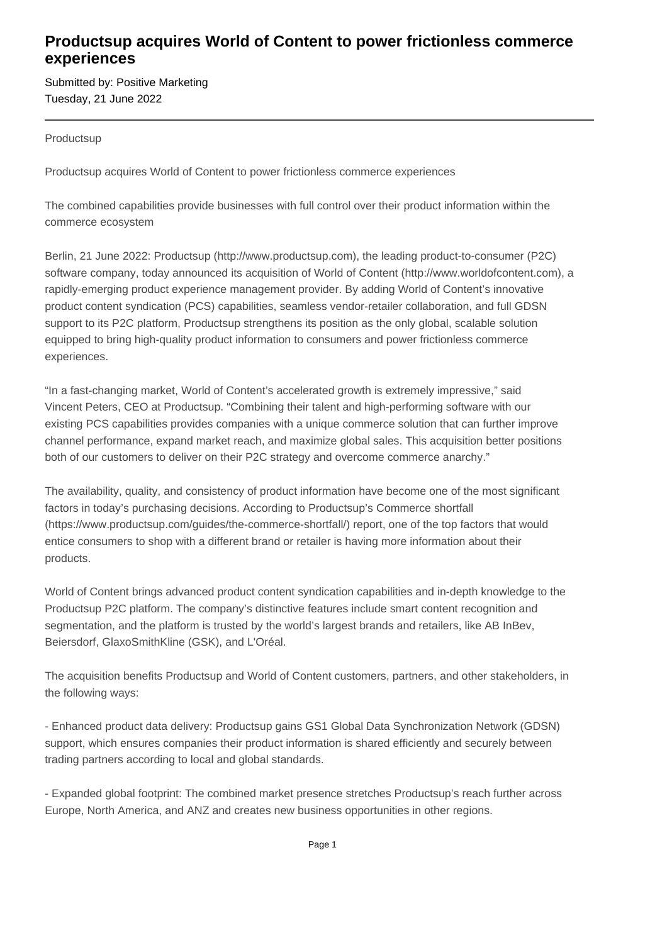## **Productsup acquires World of Content to power frictionless commerce experiences**

Submitted by: Positive Marketing Tuesday, 21 June 2022

**Productsup** 

Productsup acquires World of Content to power frictionless commerce experiences

The combined capabilities provide businesses with full control over their product information within the commerce ecosystem

Berlin, 21 June 2022: Productsup (http://www.productsup.com), the leading product-to-consumer (P2C) software company, today announced its acquisition of World of Content (http://www.worldofcontent.com), a rapidly-emerging product experience management provider. By adding World of Content's innovative product content syndication (PCS) capabilities, seamless vendor-retailer collaboration, and full GDSN support to its P2C platform, Productsup strengthens its position as the only global, scalable solution equipped to bring high-quality product information to consumers and power frictionless commerce experiences.

"In a fast-changing market, World of Content's accelerated growth is extremely impressive," said Vincent Peters, CEO at Productsup. "Combining their talent and high-performing software with our existing PCS capabilities provides companies with a unique commerce solution that can further improve channel performance, expand market reach, and maximize global sales. This acquisition better positions both of our customers to deliver on their P2C strategy and overcome commerce anarchy."

The availability, quality, and consistency of product information have become one of the most significant factors in today's purchasing decisions. According to Productsup's Commerce shortfall (https://www.productsup.com/guides/the-commerce-shortfall/) report, one of the top factors that would entice consumers to shop with a different brand or retailer is having more information about their products.

World of Content brings advanced product content syndication capabilities and in-depth knowledge to the Productsup P2C platform. The company's distinctive features include smart content recognition and segmentation, and the platform is trusted by the world's largest brands and retailers, like AB InBev, Beiersdorf, GlaxoSmithKline (GSK), and L'Oréal.

The acquisition benefits Productsup and World of Content customers, partners, and other stakeholders, in the following ways:

- Enhanced product data delivery: Productsup gains GS1 Global Data Synchronization Network (GDSN) support, which ensures companies their product information is shared efficiently and securely between trading partners according to local and global standards.

- Expanded global footprint: The combined market presence stretches Productsup's reach further across Europe, North America, and ANZ and creates new business opportunities in other regions.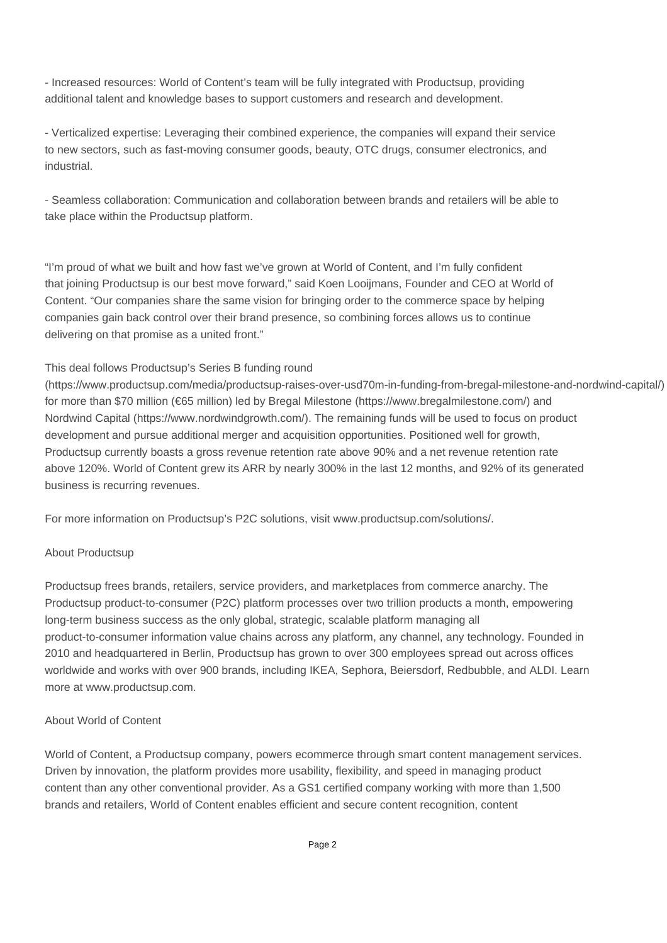- Increased resources: World of Content's team will be fully integrated with Productsup, providing additional talent and knowledge bases to support customers and research and development.

- Verticalized expertise: Leveraging their combined experience, the companies will expand their service to new sectors, such as fast-moving consumer goods, beauty, OTC drugs, consumer electronics, and industrial.

- Seamless collaboration: Communication and collaboration between brands and retailers will be able to take place within the Productsup platform.

"I'm proud of what we built and how fast we've grown at World of Content, and I'm fully confident that joining Productsup is our best move forward," said Koen Looijmans, Founder and CEO at World of Content. "Our companies share the same vision for bringing order to the commerce space by helping companies gain back control over their brand presence, so combining forces allows us to continue delivering on that promise as a united front."

#### This deal follows Productsup's Series B funding round

(https://www.productsup.com/media/productsup-raises-over-usd70m-in-funding-from-bregal-milestone-and-nordwind-capital/) for more than \$70 million (€65 million) led by Bregal Milestone (https://www.bregalmilestone.com/) and Nordwind Capital (https://www.nordwindgrowth.com/). The remaining funds will be used to focus on product development and pursue additional merger and acquisition opportunities. Positioned well for growth, Productsup currently boasts a gross revenue retention rate above 90% and a net revenue retention rate above 120%. World of Content grew its ARR by nearly 300% in the last 12 months, and 92% of its generated business is recurring revenues.

For more information on Productsup's P2C solutions, visit www.productsup.com/solutions/.

### About Productsup

Productsup frees brands, retailers, service providers, and marketplaces from commerce anarchy. The Productsup product-to-consumer (P2C) platform processes over two trillion products a month, empowering long-term business success as the only global, strategic, scalable platform managing all product-to-consumer information value chains across any platform, any channel, any technology. Founded in 2010 and headquartered in Berlin, Productsup has grown to over 300 employees spread out across offices worldwide and works with over 900 brands, including IKEA, Sephora, Beiersdorf, Redbubble, and ALDI. Learn more at www.productsup.com.

### About World of Content

World of Content, a Productsup company, powers ecommerce through smart content management services. Driven by innovation, the platform provides more usability, flexibility, and speed in managing product content than any other conventional provider. As a GS1 certified company working with more than 1,500 brands and retailers, World of Content enables efficient and secure content recognition, content